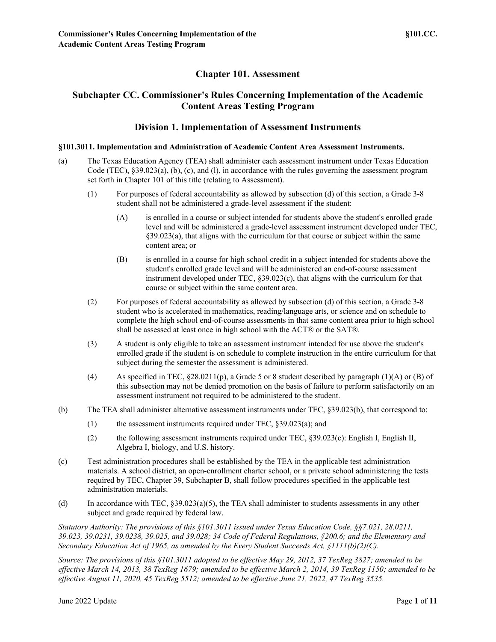# **Chapter 101. Assessment**

# **Subchapter CC. Commissioner's Rules Concerning Implementation of the Academic Content Areas Testing Program**

### **Division 1. Implementation of Assessment Instruments**

### **§101.3011. Implementation and Administration of Academic Content Area Assessment Instruments.**

- (a) The Texas Education Agency (TEA) shall administer each assessment instrument under Texas Education Code (TEC), §39.023(a), (b), (c), and (l), in accordance with the rules governing the assessment program set forth in Chapter 101 of this title (relating to Assessment).
	- (1) For purposes of federal accountability as allowed by subsection (d) of this section, a Grade 3-8 student shall not be administered a grade-level assessment if the student:
		- (A) is enrolled in a course or subject intended for students above the student's enrolled grade level and will be administered a grade-level assessment instrument developed under TEC, §39.023(a), that aligns with the curriculum for that course or subject within the same content area; or
		- (B) is enrolled in a course for high school credit in a subject intended for students above the student's enrolled grade level and will be administered an end-of-course assessment instrument developed under TEC, §39.023(c), that aligns with the curriculum for that course or subject within the same content area.
	- (2) For purposes of federal accountability as allowed by subsection (d) of this section, a Grade 3-8 student who is accelerated in mathematics, reading/language arts, or science and on schedule to complete the high school end-of-course assessments in that same content area prior to high school shall be assessed at least once in high school with the ACT® or the SAT®.
	- (3) A student is only eligible to take an assessment instrument intended for use above the student's enrolled grade if the student is on schedule to complete instruction in the entire curriculum for that subject during the semester the assessment is administered.
	- (4) As specified in TEC, §28.0211(p), a Grade 5 or 8 student described by paragraph (1)(A) or (B) of this subsection may not be denied promotion on the basis of failure to perform satisfactorily on an assessment instrument not required to be administered to the student.
- (b) The TEA shall administer alternative assessment instruments under TEC, §39.023(b), that correspond to:
	- (1) the assessment instruments required under TEC, §39.023(a); and
	- (2) the following assessment instruments required under TEC, §39.023(c): English I, English II, Algebra I, biology, and U.S. history.
- (c) Test administration procedures shall be established by the TEA in the applicable test administration materials. A school district, an open-enrollment charter school, or a private school administering the tests required by TEC, Chapter 39, Subchapter B, shall follow procedures specified in the applicable test administration materials.
- (d) In accordance with TEC, §39.023(a)(5), the TEA shall administer to students assessments in any other subject and grade required by federal law.

*Statutory Authority: The provisions of this §101.3011 issued under Texas Education Code, §§7.021, 28.0211, 39.023, 39.0231, 39.0238, 39.025, and 39.028; 34 Code of Federal Regulations, §200.6; and the Elementary and Secondary Education Act of 1965, as amended by the Every Student Succeeds Act, §1111(b)(2)(C).*

*Source: The provisions of this §101.3011 adopted to be effective May 29, 2012, 37 TexReg 3827; amended to be effective March 14, 2013, 38 TexReg 1679; amended to be effective March 2, 2014, 39 TexReg 1150; amended to be effective August 11, 2020, 45 TexReg 5512; amended to be effective June 21, 2022, 47 TexReg 3535.*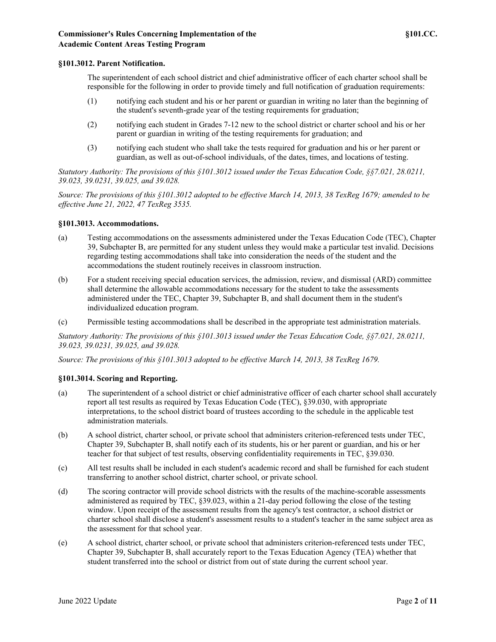### **§101.3012. Parent Notification.**

The superintendent of each school district and chief administrative officer of each charter school shall be responsible for the following in order to provide timely and full notification of graduation requirements:

- (1) notifying each student and his or her parent or guardian in writing no later than the beginning of the student's seventh-grade year of the testing requirements for graduation;
- (2) notifying each student in Grades 7-12 new to the school district or charter school and his or her parent or guardian in writing of the testing requirements for graduation; and
- (3) notifying each student who shall take the tests required for graduation and his or her parent or guardian, as well as out-of-school individuals, of the dates, times, and locations of testing.

*Statutory Authority: The provisions of this §101.3012 issued under the Texas Education Code, §§7.021, 28.0211, 39.023, 39.0231, 39.025, and 39.028.*

*Source: The provisions of this §101.3012 adopted to be effective March 14, 2013, 38 TexReg 1679; amended to be effective June 21, 2022, 47 TexReg 3535.*

### **§101.3013. Accommodations.**

- (a) Testing accommodations on the assessments administered under the Texas Education Code (TEC), Chapter 39, Subchapter B, are permitted for any student unless they would make a particular test invalid. Decisions regarding testing accommodations shall take into consideration the needs of the student and the accommodations the student routinely receives in classroom instruction.
- (b) For a student receiving special education services, the admission, review, and dismissal (ARD) committee shall determine the allowable accommodations necessary for the student to take the assessments administered under the TEC, Chapter 39, Subchapter B, and shall document them in the student's individualized education program.
- (c) Permissible testing accommodations shall be described in the appropriate test administration materials.

*Statutory Authority: The provisions of this §101.3013 issued under the Texas Education Code, §§7.021, 28.0211, 39.023, 39.0231, 39.025, and 39.028.*

*Source: The provisions of this §101.3013 adopted to be effective March 14, 2013, 38 TexReg 1679.*

#### **§101.3014. Scoring and Reporting.**

- (a) The superintendent of a school district or chief administrative officer of each charter school shall accurately report all test results as required by Texas Education Code (TEC), §39.030, with appropriate interpretations, to the school district board of trustees according to the schedule in the applicable test administration materials.
- (b) A school district, charter school, or private school that administers criterion-referenced tests under TEC, Chapter 39, Subchapter B, shall notify each of its students, his or her parent or guardian, and his or her teacher for that subject of test results, observing confidentiality requirements in TEC, §39.030.
- (c) All test results shall be included in each student's academic record and shall be furnished for each student transferring to another school district, charter school, or private school.
- (d) The scoring contractor will provide school districts with the results of the machine-scorable assessments administered as required by TEC, §39.023, within a 21-day period following the close of the testing window. Upon receipt of the assessment results from the agency's test contractor, a school district or charter school shall disclose a student's assessment results to a student's teacher in the same subject area as the assessment for that school year.
- (e) A school district, charter school, or private school that administers criterion-referenced tests under TEC, Chapter 39, Subchapter B, shall accurately report to the Texas Education Agency (TEA) whether that student transferred into the school or district from out of state during the current school year.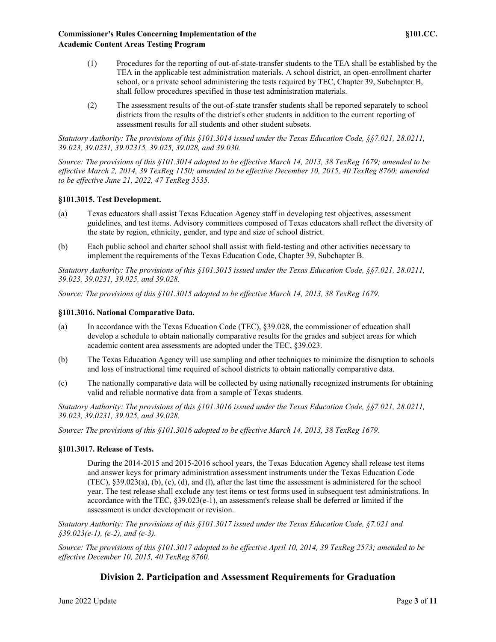- (1) Procedures for the reporting of out-of-state-transfer students to the TEA shall be established by the TEA in the applicable test administration materials. A school district, an open-enrollment charter school, or a private school administering the tests required by TEC, Chapter 39, Subchapter B, shall follow procedures specified in those test administration materials.
- (2) The assessment results of the out-of-state transfer students shall be reported separately to school districts from the results of the district's other students in addition to the current reporting of assessment results for all students and other student subsets.

*Statutory Authority: The provisions of this §101.3014 issued under the Texas Education Code, §§7.021, 28.0211, 39.023, 39.0231, 39.02315, 39.025, 39.028, and 39.030.*

*Source: The provisions of this §101.3014 adopted to be effective March 14, 2013, 38 TexReg 1679; amended to be effective March 2, 2014, 39 TexReg 1150; amended to be effective December 10, 2015, 40 TexReg 8760; amended to be effective June 21, 2022, 47 TexReg 3535.*

### **§101.3015. Test Development.**

- (a) Texas educators shall assist Texas Education Agency staff in developing test objectives, assessment guidelines, and test items. Advisory committees composed of Texas educators shall reflect the diversity of the state by region, ethnicity, gender, and type and size of school district.
- (b) Each public school and charter school shall assist with field-testing and other activities necessary to implement the requirements of the Texas Education Code, Chapter 39, Subchapter B.

*Statutory Authority: The provisions of this §101.3015 issued under the Texas Education Code, §§7.021, 28.0211, 39.023, 39.0231, 39.025, and 39.028.*

*Source: The provisions of this §101.3015 adopted to be effective March 14, 2013, 38 TexReg 1679.*

### **§101.3016. National Comparative Data.**

- (a) In accordance with the Texas Education Code (TEC), §39.028, the commissioner of education shall develop a schedule to obtain nationally comparative results for the grades and subject areas for which academic content area assessments are adopted under the TEC, §39.023.
- (b) The Texas Education Agency will use sampling and other techniques to minimize the disruption to schools and loss of instructional time required of school districts to obtain nationally comparative data.
- (c) The nationally comparative data will be collected by using nationally recognized instruments for obtaining valid and reliable normative data from a sample of Texas students.

*Statutory Authority: The provisions of this §101.3016 issued under the Texas Education Code, §§7.021, 28.0211, 39.023, 39.0231, 39.025, and 39.028.*

*Source: The provisions of this §101.3016 adopted to be effective March 14, 2013, 38 TexReg 1679.*

### **§101.3017. Release of Tests.**

During the 2014-2015 and 2015-2016 school years, the Texas Education Agency shall release test items and answer keys for primary administration assessment instruments under the Texas Education Code (TEC), §39.023(a), (b), (c), (d), and (l), after the last time the assessment is administered for the school year. The test release shall exclude any test items or test forms used in subsequent test administrations. In accordance with the TEC, §39.023(e-1), an assessment's release shall be deferred or limited if the assessment is under development or revision.

*Statutory Authority: The provisions of this §101.3017 issued under the Texas Education Code, §7.021 and §39.023(e-1), (e-2), and (e-3).*

*Source: The provisions of this §101.3017 adopted to be effective April 10, 2014, 39 TexReg 2573; amended to be effective December 10, 2015, 40 TexReg 8760.*

## **Division 2. Participation and Assessment Requirements for Graduation**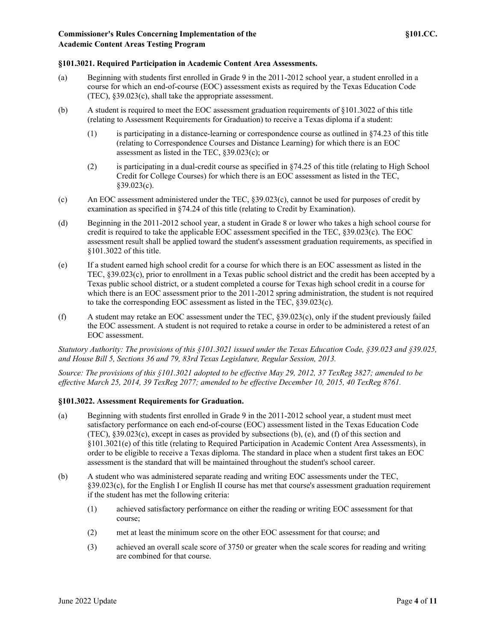### **§101.3021. Required Participation in Academic Content Area Assessments.**

- (a) Beginning with students first enrolled in Grade 9 in the 2011-2012 school year, a student enrolled in a course for which an end-of-course (EOC) assessment exists as required by the Texas Education Code (TEC), §39.023(c), shall take the appropriate assessment.
- (b) A student is required to meet the EOC assessment graduation requirements of §101.3022 of this title (relating to Assessment Requirements for Graduation) to receive a Texas diploma if a student:
	- (1) is participating in a distance-learning or correspondence course as outlined in §74.23 of this title (relating to Correspondence Courses and Distance Learning) for which there is an EOC assessment as listed in the TEC, §39.023(c); or
	- (2) is participating in a dual-credit course as specified in §74.25 of this title (relating to High School Credit for College Courses) for which there is an EOC assessment as listed in the TEC,  $§39.023(c).$
- (c) An EOC assessment administered under the TEC, §39.023(c), cannot be used for purposes of credit by examination as specified in §74.24 of this title (relating to Credit by Examination).
- (d) Beginning in the 2011-2012 school year, a student in Grade 8 or lower who takes a high school course for credit is required to take the applicable EOC assessment specified in the TEC, §39.023(c). The EOC assessment result shall be applied toward the student's assessment graduation requirements, as specified in §101.3022 of this title.
- (e) If a student earned high school credit for a course for which there is an EOC assessment as listed in the TEC, §39.023(c), prior to enrollment in a Texas public school district and the credit has been accepted by a Texas public school district, or a student completed a course for Texas high school credit in a course for which there is an EOC assessment prior to the 2011-2012 spring administration, the student is not required to take the corresponding EOC assessment as listed in the TEC, §39.023(c).
- (f) A student may retake an EOC assessment under the TEC, §39.023(c), only if the student previously failed the EOC assessment. A student is not required to retake a course in order to be administered a retest of an EOC assessment.

*Statutory Authority: The provisions of this §101.3021 issued under the Texas Education Code, §39.023 and §39.025, and House Bill 5, Sections 36 and 79, 83rd Texas Legislature, Regular Session, 2013.*

*Source: The provisions of this §101.3021 adopted to be effective May 29, 2012, 37 TexReg 3827; amended to be effective March 25, 2014, 39 TexReg 2077; amended to be effective December 10, 2015, 40 TexReg 8761.*

#### **§101.3022. Assessment Requirements for Graduation.**

- (a) Beginning with students first enrolled in Grade 9 in the 2011-2012 school year, a student must meet satisfactory performance on each end-of-course (EOC) assessment listed in the Texas Education Code (TEC), §39.023(c), except in cases as provided by subsections (b), (e), and (f) of this section and §101.3021(e) of this title (relating to Required Participation in Academic Content Area Assessments), in order to be eligible to receive a Texas diploma. The standard in place when a student first takes an EOC assessment is the standard that will be maintained throughout the student's school career.
- (b) A student who was administered separate reading and writing EOC assessments under the TEC, §39.023(c), for the English I or English II course has met that course's assessment graduation requirement if the student has met the following criteria:
	- (1) achieved satisfactory performance on either the reading or writing EOC assessment for that course;
	- (2) met at least the minimum score on the other EOC assessment for that course; and
	- (3) achieved an overall scale score of 3750 or greater when the scale scores for reading and writing are combined for that course.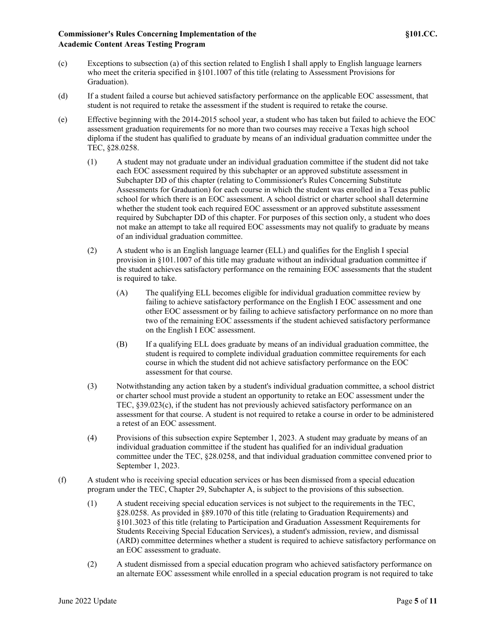- (c) Exceptions to subsection (a) of this section related to English I shall apply to English language learners who meet the criteria specified in §101.1007 of this title (relating to Assessment Provisions for Graduation).
- (d) If a student failed a course but achieved satisfactory performance on the applicable EOC assessment, that student is not required to retake the assessment if the student is required to retake the course.
- (e) Effective beginning with the 2014-2015 school year, a student who has taken but failed to achieve the EOC assessment graduation requirements for no more than two courses may receive a Texas high school diploma if the student has qualified to graduate by means of an individual graduation committee under the TEC, §28.0258.
	- (1) A student may not graduate under an individual graduation committee if the student did not take each EOC assessment required by this subchapter or an approved substitute assessment in Subchapter DD of this chapter (relating to Commissioner's Rules Concerning Substitute Assessments for Graduation) for each course in which the student was enrolled in a Texas public school for which there is an EOC assessment. A school district or charter school shall determine whether the student took each required EOC assessment or an approved substitute assessment required by Subchapter DD of this chapter. For purposes of this section only, a student who does not make an attempt to take all required EOC assessments may not qualify to graduate by means of an individual graduation committee.
	- (2) A student who is an English language learner (ELL) and qualifies for the English I special provision in §101.1007 of this title may graduate without an individual graduation committee if the student achieves satisfactory performance on the remaining EOC assessments that the student is required to take.
		- (A) The qualifying ELL becomes eligible for individual graduation committee review by failing to achieve satisfactory performance on the English I EOC assessment and one other EOC assessment or by failing to achieve satisfactory performance on no more than two of the remaining EOC assessments if the student achieved satisfactory performance on the English I EOC assessment.
		- (B) If a qualifying ELL does graduate by means of an individual graduation committee, the student is required to complete individual graduation committee requirements for each course in which the student did not achieve satisfactory performance on the EOC assessment for that course.
	- (3) Notwithstanding any action taken by a student's individual graduation committee, a school district or charter school must provide a student an opportunity to retake an EOC assessment under the TEC, §39.023(c), if the student has not previously achieved satisfactory performance on an assessment for that course. A student is not required to retake a course in order to be administered a retest of an EOC assessment.
	- (4) Provisions of this subsection expire September 1, 2023. A student may graduate by means of an individual graduation committee if the student has qualified for an individual graduation committee under the TEC, §28.0258, and that individual graduation committee convened prior to September 1, 2023.
- (f) A student who is receiving special education services or has been dismissed from a special education program under the TEC, Chapter 29, Subchapter A, is subject to the provisions of this subsection.
	- (1) A student receiving special education services is not subject to the requirements in the TEC, §28.0258. As provided in §89.1070 of this title (relating to Graduation Requirements) and §101.3023 of this title (relating to Participation and Graduation Assessment Requirements for Students Receiving Special Education Services), a student's admission, review, and dismissal (ARD) committee determines whether a student is required to achieve satisfactory performance on an EOC assessment to graduate.
	- (2) A student dismissed from a special education program who achieved satisfactory performance on an alternate EOC assessment while enrolled in a special education program is not required to take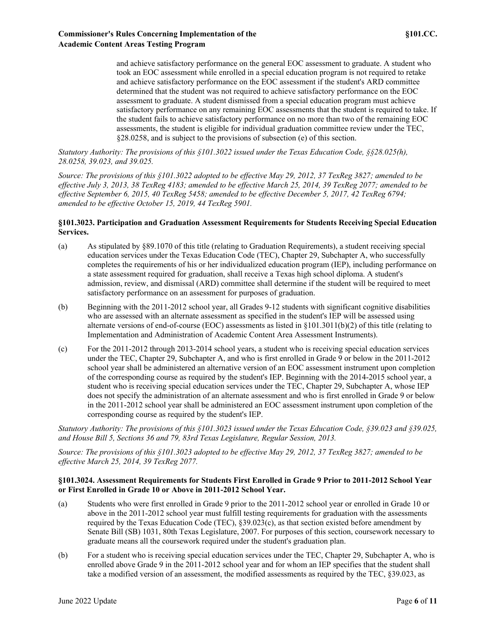and achieve satisfactory performance on the general EOC assessment to graduate. A student who took an EOC assessment while enrolled in a special education program is not required to retake and achieve satisfactory performance on the EOC assessment if the student's ARD committee determined that the student was not required to achieve satisfactory performance on the EOC assessment to graduate. A student dismissed from a special education program must achieve satisfactory performance on any remaining EOC assessments that the student is required to take. If the student fails to achieve satisfactory performance on no more than two of the remaining EOC assessments, the student is eligible for individual graduation committee review under the TEC, §28.0258, and is subject to the provisions of subsection (e) of this section.

*Statutory Authority: The provisions of this §101.3022 issued under the Texas Education Code, §§28.025(h), 28.0258, 39.023, and 39.025.*

*Source: The provisions of this §101.3022 adopted to be effective May 29, 2012, 37 TexReg 3827; amended to be effective July 3, 2013, 38 TexReg 4183; amended to be effective March 25, 2014, 39 TexReg 2077; amended to be effective September 6, 2015, 40 TexReg 5458; amended to be effective December 5, 2017, 42 TexReg 6794; amended to be effective October 15, 2019, 44 TexReg 5901.*

### **§101.3023. Participation and Graduation Assessment Requirements for Students Receiving Special Education Services.**

- (a) As stipulated by §89.1070 of this title (relating to Graduation Requirements), a student receiving special education services under the Texas Education Code (TEC), Chapter 29, Subchapter A, who successfully completes the requirements of his or her individualized education program (IEP), including performance on a state assessment required for graduation, shall receive a Texas high school diploma. A student's admission, review, and dismissal (ARD) committee shall determine if the student will be required to meet satisfactory performance on an assessment for purposes of graduation.
- (b) Beginning with the 2011-2012 school year, all Grades 9-12 students with significant cognitive disabilities who are assessed with an alternate assessment as specified in the student's IEP will be assessed using alternate versions of end-of-course (EOC) assessments as listed in §101.3011(b)(2) of this title (relating to Implementation and Administration of Academic Content Area Assessment Instruments).
- (c) For the 2011-2012 through 2013-2014 school years, a student who is receiving special education services under the TEC, Chapter 29, Subchapter A, and who is first enrolled in Grade 9 or below in the 2011-2012 school year shall be administered an alternative version of an EOC assessment instrument upon completion of the corresponding course as required by the student's IEP. Beginning with the 2014-2015 school year, a student who is receiving special education services under the TEC, Chapter 29, Subchapter A, whose IEP does not specify the administration of an alternate assessment and who is first enrolled in Grade 9 or below in the 2011-2012 school year shall be administered an EOC assessment instrument upon completion of the corresponding course as required by the student's IEP.

*Statutory Authority: The provisions of this §101.3023 issued under the Texas Education Code, §39.023 and §39.025, and House Bill 5, Sections 36 and 79, 83rd Texas Legislature, Regular Session, 2013.*

*Source: The provisions of this §101.3023 adopted to be effective May 29, 2012, 37 TexReg 3827; amended to be effective March 25, 2014, 39 TexReg 2077.*

### **§101.3024. Assessment Requirements for Students First Enrolled in Grade 9 Prior to 2011-2012 School Year or First Enrolled in Grade 10 or Above in 2011-2012 School Year.**

- (a) Students who were first enrolled in Grade 9 prior to the 2011-2012 school year or enrolled in Grade 10 or above in the 2011-2012 school year must fulfill testing requirements for graduation with the assessments required by the Texas Education Code (TEC),  $\S39.023(c)$ , as that section existed before amendment by Senate Bill (SB) 1031, 80th Texas Legislature, 2007. For purposes of this section, coursework necessary to graduate means all the coursework required under the student's graduation plan.
- (b) For a student who is receiving special education services under the TEC, Chapter 29, Subchapter A, who is enrolled above Grade 9 in the 2011-2012 school year and for whom an IEP specifies that the student shall take a modified version of an assessment, the modified assessments as required by the TEC, §39.023, as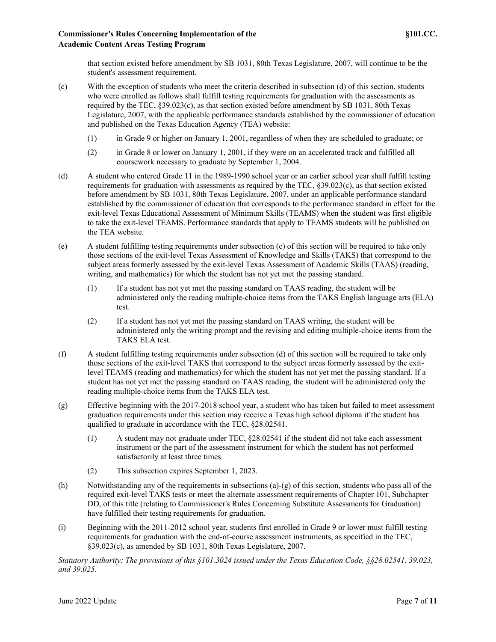that section existed before amendment by SB 1031, 80th Texas Legislature, 2007, will continue to be the student's assessment requirement.

- (c) With the exception of students who meet the criteria described in subsection (d) of this section, students who were enrolled as follows shall fulfill testing requirements for graduation with the assessments as required by the TEC, §39.023(c), as that section existed before amendment by SB 1031, 80th Texas Legislature, 2007, with the applicable performance standards established by the commissioner of education and published on the Texas Education Agency (TEA) website:
	- (1) in Grade 9 or higher on January 1, 2001, regardless of when they are scheduled to graduate; or
	- (2) in Grade 8 or lower on January 1, 2001, if they were on an accelerated track and fulfilled all coursework necessary to graduate by September 1, 2004.
- (d) A student who entered Grade 11 in the 1989-1990 school year or an earlier school year shall fulfill testing requirements for graduation with assessments as required by the TEC, §39.023(c), as that section existed before amendment by SB 1031, 80th Texas Legislature, 2007, under an applicable performance standard established by the commissioner of education that corresponds to the performance standard in effect for the exit-level Texas Educational Assessment of Minimum Skills (TEAMS) when the student was first eligible to take the exit-level TEAMS. Performance standards that apply to TEAMS students will be published on the TEA website.
- (e) A student fulfilling testing requirements under subsection (c) of this section will be required to take only those sections of the exit-level Texas Assessment of Knowledge and Skills (TAKS) that correspond to the subject areas formerly assessed by the exit-level Texas Assessment of Academic Skills (TAAS) (reading, writing, and mathematics) for which the student has not yet met the passing standard.
	- (1) If a student has not yet met the passing standard on TAAS reading, the student will be administered only the reading multiple-choice items from the TAKS English language arts (ELA) test.
	- (2) If a student has not yet met the passing standard on TAAS writing, the student will be administered only the writing prompt and the revising and editing multiple-choice items from the TAKS ELA test.
- (f) A student fulfilling testing requirements under subsection (d) of this section will be required to take only those sections of the exit-level TAKS that correspond to the subject areas formerly assessed by the exitlevel TEAMS (reading and mathematics) for which the student has not yet met the passing standard. If a student has not yet met the passing standard on TAAS reading, the student will be administered only the reading multiple-choice items from the TAKS ELA test.
- (g) Effective beginning with the 2017-2018 school year, a student who has taken but failed to meet assessment graduation requirements under this section may receive a Texas high school diploma if the student has qualified to graduate in accordance with the TEC, §28.02541.
	- (1) A student may not graduate under TEC, §28.02541 if the student did not take each assessment instrument or the part of the assessment instrument for which the student has not performed satisfactorily at least three times.
	- (2) This subsection expires September 1, 2023.
- (h) Notwithstanding any of the requirements in subsections (a)-(g) of this section, students who pass all of the required exit-level TAKS tests or meet the alternate assessment requirements of Chapter 101, Subchapter DD, of this title (relating to Commissioner's Rules Concerning Substitute Assessments for Graduation) have fulfilled their testing requirements for graduation.
- (i) Beginning with the 2011-2012 school year, students first enrolled in Grade 9 or lower must fulfill testing requirements for graduation with the end-of-course assessment instruments, as specified in the TEC, §39.023(c), as amended by SB 1031, 80th Texas Legislature, 2007.

*Statutory Authority: The provisions of this §101.3024 issued under the Texas Education Code, §§28.02541, 39.023, and 39.025.*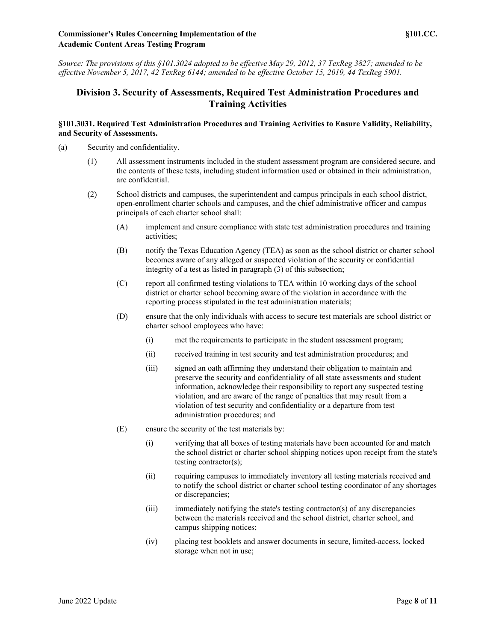### **Commissioner's Rules Concerning Implementation of the §101.CC. Academic Content Areas Testing Program**

*Source: The provisions of this §101.3024 adopted to be effective May 29, 2012, 37 TexReg 3827; amended to be effective November 5, 2017, 42 TexReg 6144; amended to be effective October 15, 2019, 44 TexReg 5901.*

## **Division 3. Security of Assessments, Required Test Administration Procedures and Training Activities**

### **§101.3031. Required Test Administration Procedures and Training Activities to Ensure Validity, Reliability, and Security of Assessments.**

- (a) Security and confidentiality.
	- (1) All assessment instruments included in the student assessment program are considered secure, and the contents of these tests, including student information used or obtained in their administration, are confidential.
	- (2) School districts and campuses, the superintendent and campus principals in each school district, open-enrollment charter schools and campuses, and the chief administrative officer and campus principals of each charter school shall:
		- (A) implement and ensure compliance with state test administration procedures and training activities;
		- (B) notify the Texas Education Agency (TEA) as soon as the school district or charter school becomes aware of any alleged or suspected violation of the security or confidential integrity of a test as listed in paragraph (3) of this subsection;
		- (C) report all confirmed testing violations to TEA within 10 working days of the school district or charter school becoming aware of the violation in accordance with the reporting process stipulated in the test administration materials;
		- (D) ensure that the only individuals with access to secure test materials are school district or charter school employees who have:
			- (i) met the requirements to participate in the student assessment program;
			- (ii) received training in test security and test administration procedures; and
			- (iii) signed an oath affirming they understand their obligation to maintain and preserve the security and confidentiality of all state assessments and student information, acknowledge their responsibility to report any suspected testing violation, and are aware of the range of penalties that may result from a violation of test security and confidentiality or a departure from test administration procedures; and
		- (E) ensure the security of the test materials by:
			- (i) verifying that all boxes of testing materials have been accounted for and match the school district or charter school shipping notices upon receipt from the state's testing contractor(s);
			- (ii) requiring campuses to immediately inventory all testing materials received and to notify the school district or charter school testing coordinator of any shortages or discrepancies;
			- (iii) immediately notifying the state's testing contractor(s) of any discrepancies between the materials received and the school district, charter school, and campus shipping notices;
			- (iv) placing test booklets and answer documents in secure, limited-access, locked storage when not in use;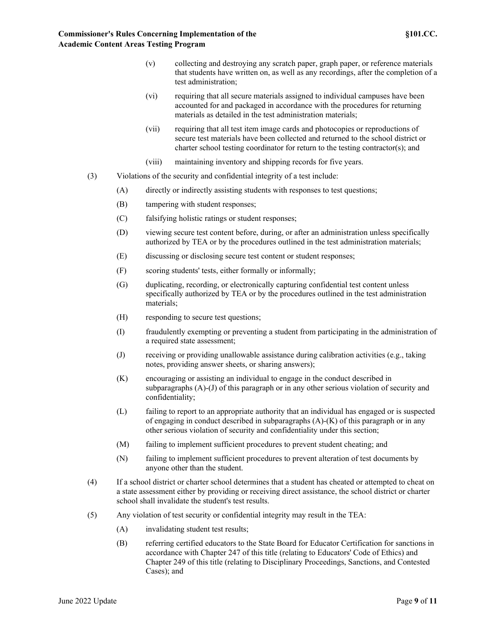- (v) collecting and destroying any scratch paper, graph paper, or reference materials that students have written on, as well as any recordings, after the completion of a test administration;
- (vi) requiring that all secure materials assigned to individual campuses have been accounted for and packaged in accordance with the procedures for returning materials as detailed in the test administration materials;
- (vii) requiring that all test item image cards and photocopies or reproductions of secure test materials have been collected and returned to the school district or charter school testing coordinator for return to the testing contractor(s); and
- (viii) maintaining inventory and shipping records for five years.
- (3) Violations of the security and confidential integrity of a test include:
	- (A) directly or indirectly assisting students with responses to test questions;
	- (B) tampering with student responses;
	- (C) falsifying holistic ratings or student responses;
	- (D) viewing secure test content before, during, or after an administration unless specifically authorized by TEA or by the procedures outlined in the test administration materials;
	- (E) discussing or disclosing secure test content or student responses;
	- (F) scoring students' tests, either formally or informally;
	- (G) duplicating, recording, or electronically capturing confidential test content unless specifically authorized by TEA or by the procedures outlined in the test administration materials;
	- (H) responding to secure test questions;
	- (I) fraudulently exempting or preventing a student from participating in the administration of a required state assessment;
	- (J) receiving or providing unallowable assistance during calibration activities (e.g., taking notes, providing answer sheets, or sharing answers);
	- (K) encouraging or assisting an individual to engage in the conduct described in subparagraphs (A)-(J) of this paragraph or in any other serious violation of security and confidentiality;
	- (L) failing to report to an appropriate authority that an individual has engaged or is suspected of engaging in conduct described in subparagraphs  $(A)$ - $(K)$  of this paragraph or in any other serious violation of security and confidentiality under this section;
	- (M) failing to implement sufficient procedures to prevent student cheating; and
	- (N) failing to implement sufficient procedures to prevent alteration of test documents by anyone other than the student.
- (4) If a school district or charter school determines that a student has cheated or attempted to cheat on a state assessment either by providing or receiving direct assistance, the school district or charter school shall invalidate the student's test results.
- (5) Any violation of test security or confidential integrity may result in the TEA:
	- (A) invalidating student test results;
	- (B) referring certified educators to the State Board for Educator Certification for sanctions in accordance with Chapter 247 of this title (relating to Educators' Code of Ethics) and Chapter 249 of this title (relating to Disciplinary Proceedings, Sanctions, and Contested Cases); and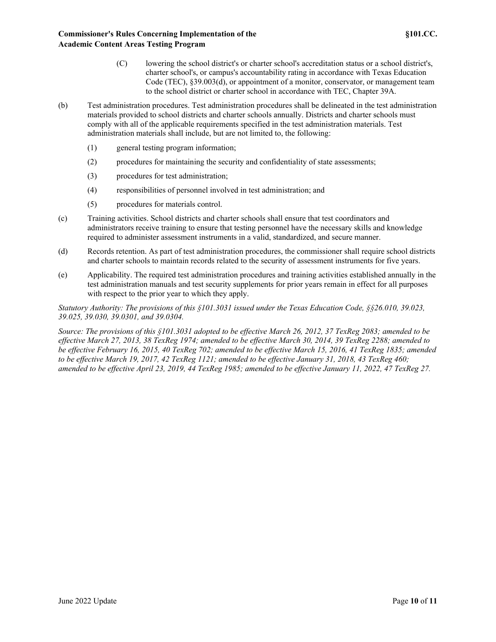- (C) lowering the school district's or charter school's accreditation status or a school district's, charter school's, or campus's accountability rating in accordance with Texas Education Code (TEC), §39.003(d), or appointment of a monitor, conservator, or management team to the school district or charter school in accordance with TEC, Chapter 39A.
- (b) Test administration procedures. Test administration procedures shall be delineated in the test administration materials provided to school districts and charter schools annually. Districts and charter schools must comply with all of the applicable requirements specified in the test administration materials. Test administration materials shall include, but are not limited to, the following:
	- (1) general testing program information;
	- (2) procedures for maintaining the security and confidentiality of state assessments;
	- (3) procedures for test administration;
	- (4) responsibilities of personnel involved in test administration; and
	- (5) procedures for materials control.
- (c) Training activities. School districts and charter schools shall ensure that test coordinators and administrators receive training to ensure that testing personnel have the necessary skills and knowledge required to administer assessment instruments in a valid, standardized, and secure manner.
- (d) Records retention. As part of test administration procedures, the commissioner shall require school districts and charter schools to maintain records related to the security of assessment instruments for five years.
- (e) Applicability. The required test administration procedures and training activities established annually in the test administration manuals and test security supplements for prior years remain in effect for all purposes with respect to the prior year to which they apply.

*Statutory Authority: The provisions of this §101.3031 issued under the Texas Education Code, §§26.010, 39.023, 39.025, 39.030, 39.0301, and 39.0304.*

*Source: The provisions of this §101.3031 adopted to be effective March 26, 2012, 37 TexReg 2083; amended to be effective March 27, 2013, 38 TexReg 1974; amended to be effective March 30, 2014, 39 TexReg 2288; amended to be effective February 16, 2015, 40 TexReg 702; amended to be effective March 15, 2016, 41 TexReg 1835; amended to be effective March 19, 2017, 42 TexReg 1121; amended to be effective January 31, 2018, 43 TexReg 460; amended to be effective April 23, 2019, 44 TexReg 1985; amended to be effective January 11, 2022, 47 TexReg 27.*